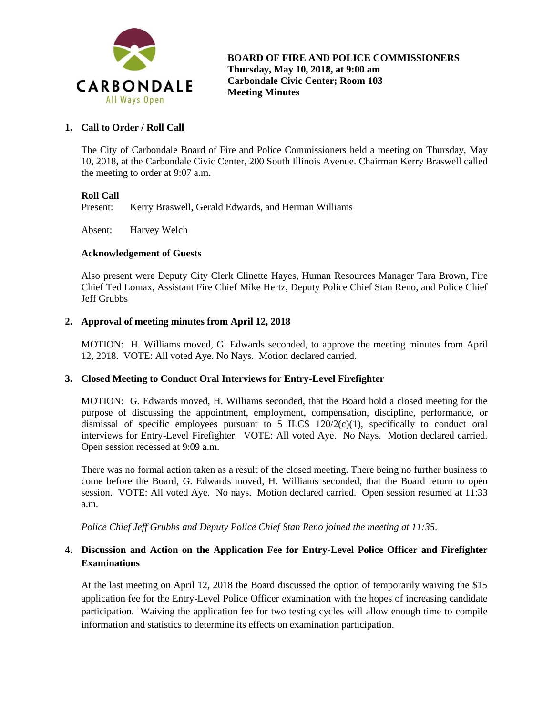

# **1. Call to Order / Roll Call**

The City of Carbondale Board of Fire and Police Commissioners held a meeting on Thursday, May 10, 2018, at the Carbondale Civic Center, 200 South Illinois Avenue. Chairman Kerry Braswell called the meeting to order at 9:07 a.m.

### **Roll Call**

Present: Kerry Braswell, Gerald Edwards, and Herman Williams

Absent: Harvey Welch

### **Acknowledgement of Guests**

Also present were Deputy City Clerk Clinette Hayes, Human Resources Manager Tara Brown, Fire Chief Ted Lomax, Assistant Fire Chief Mike Hertz, Deputy Police Chief Stan Reno, and Police Chief Jeff Grubbs

### **2. Approval of meeting minutes from April 12, 2018**

MOTION: H. Williams moved, G. Edwards seconded, to approve the meeting minutes from April 12, 2018. VOTE: All voted Aye. No Nays. Motion declared carried.

# **3. Closed Meeting to Conduct Oral Interviews for Entry-Level Firefighter**

MOTION: G. Edwards moved, H. Williams seconded, that the Board hold a closed meeting for the purpose of discussing the appointment, employment, compensation, discipline, performance, or dismissal of specific employees pursuant to 5 ILCS  $120/2(c)(1)$ , specifically to conduct oral interviews for Entry-Level Firefighter. VOTE: All voted Aye. No Nays. Motion declared carried. Open session recessed at 9:09 a.m.

There was no formal action taken as a result of the closed meeting. There being no further business to come before the Board, G. Edwards moved, H. Williams seconded, that the Board return to open session. VOTE: All voted Aye. No nays. Motion declared carried. Open session resumed at 11:33 a.m.

*Police Chief Jeff Grubbs and Deputy Police Chief Stan Reno joined the meeting at 11:35.*

# **4. Discussion and Action on the Application Fee for Entry-Level Police Officer and Firefighter Examinations**

At the last meeting on April 12, 2018 the Board discussed the option of temporarily waiving the \$15 application fee for the Entry-Level Police Officer examination with the hopes of increasing candidate participation. Waiving the application fee for two testing cycles will allow enough time to compile information and statistics to determine its effects on examination participation.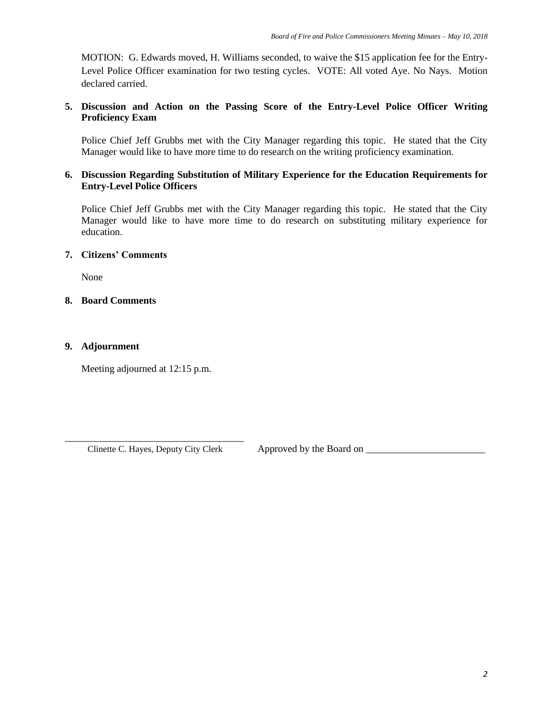MOTION: G. Edwards moved, H. Williams seconded, to waive the \$15 application fee for the Entry-Level Police Officer examination for two testing cycles. VOTE: All voted Aye. No Nays. Motion declared carried.

# **5. Discussion and Action on the Passing Score of the Entry-Level Police Officer Writing Proficiency Exam**

Police Chief Jeff Grubbs met with the City Manager regarding this topic. He stated that the City Manager would like to have more time to do research on the writing proficiency examination.

# **6. Discussion Regarding Substitution of Military Experience for the Education Requirements for Entry-Level Police Officers**

Police Chief Jeff Grubbs met with the City Manager regarding this topic. He stated that the City Manager would like to have more time to do research on substituting military experience for education.

# **7. Citizens' Comments**

None

# **8. Board Comments**

# **9. Adjournment**

Meeting adjourned at 12:15 p.m.

\_\_\_\_\_\_\_\_\_\_\_\_\_\_\_\_\_\_\_\_\_\_\_\_\_\_\_\_\_\_\_\_\_\_\_\_ Clinette C. Hayes, Deputy City Clerk Approved by the Board on \_\_\_\_\_\_\_\_\_\_\_\_\_\_\_\_\_\_\_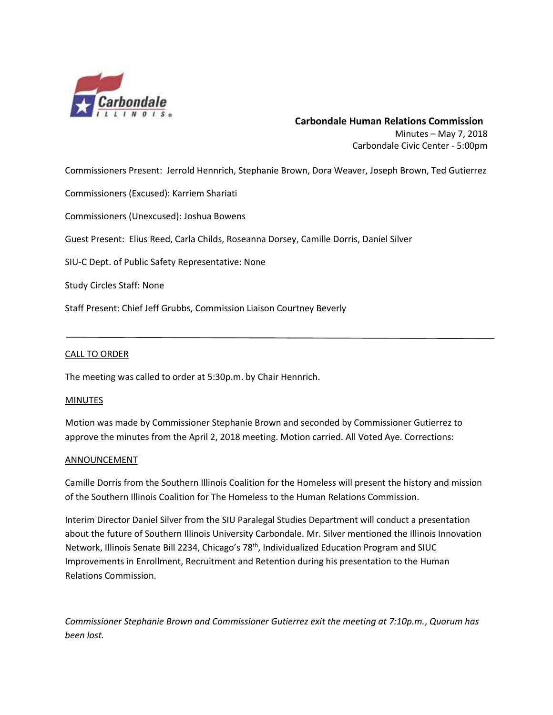

# **Carbondale Human Relations Commission** Minutes – May 7, 2018 Carbondale Civic Center - 5:00pm

Commissioners Present: Jerrold Hennrich, Stephanie Brown, Dora Weaver, Joseph Brown, Ted Gutierrez

Commissioners (Excused): Karriem Shariati

Commissioners (Unexcused): Joshua Bowens

Guest Present: Elius Reed, Carla Childs, Roseanna Dorsey, Camille Dorris, Daniel Silver

SIU-C Dept. of Public Safety Representative: None

Study Circles Staff: None

Staff Present: Chief Jeff Grubbs, Commission Liaison Courtney Beverly

### CALL TO ORDER

The meeting was called to order at 5:30p.m. by Chair Hennrich.

### MINUTES

Motion was made by Commissioner Stephanie Brown and seconded by Commissioner Gutierrez to approve the minutes from the April 2, 2018 meeting. Motion carried. All Voted Aye. Corrections:

### **ANNOUNCEMENT**

Camille Dorris from the Southern Illinois Coalition for the Homeless will present the history and mission of the Southern Illinois Coalition for The Homeless to the Human Relations Commission.

Interim Director Daniel Silver from the SIU Paralegal Studies Department will conduct a presentation about the future of Southern Illinois University Carbondale. Mr. Silver mentioned the Illinois Innovation Network, Illinois Senate Bill 2234, Chicago's 78<sup>th</sup>, Individualized Education Program and SIUC Improvements in Enrollment, Recruitment and Retention during his presentation to the Human Relations Commission.

*Commissioner Stephanie Brown and Commissioner Gutierrez exit the meeting at 7:10p.m.*, *Quorum has been lost.*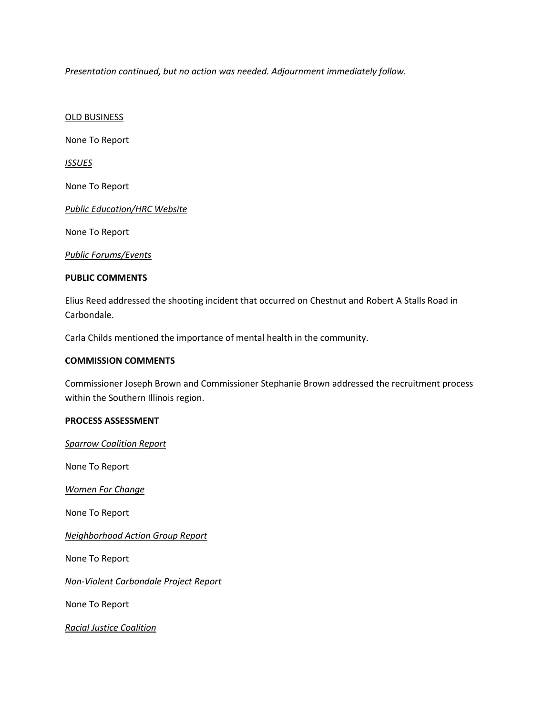*Presentation continued, but no action was needed. Adjournment immediately follow.*

OLD BUSINESS

None To Report

*ISSUES*

None To Report

*Public Education/HRC Website* 

None To Report

*Public Forums/Events*

### **PUBLIC COMMENTS**

Elius Reed addressed the shooting incident that occurred on Chestnut and Robert A Stalls Road in Carbondale.

Carla Childs mentioned the importance of mental health in the community.

#### **COMMISSION COMMENTS**

Commissioner Joseph Brown and Commissioner Stephanie Brown addressed the recruitment process within the Southern Illinois region.

### **PROCESS ASSESSMENT**

*Sparrow Coalition Report*

None To Report

*Women For Change*

None To Report

*Neighborhood Action Group Report*

None To Report

*Non-Violent Carbondale Project Report*

None To Report

*Racial Justice Coalition*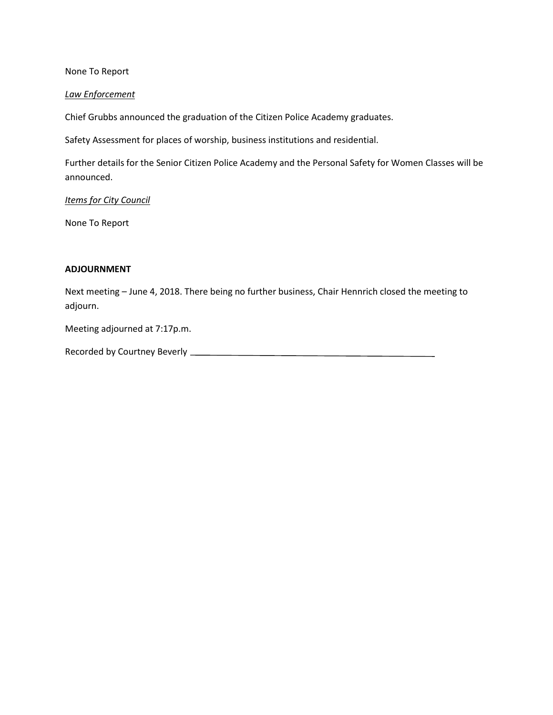None To Report

### *Law Enforcement*

Chief Grubbs announced the graduation of the Citizen Police Academy graduates.

Safety Assessment for places of worship, business institutions and residential.

Further details for the Senior Citizen Police Academy and the Personal Safety for Women Classes will be announced.

### *Items for City Council*

None To Report

### **ADJOURNMENT**

Next meeting – June 4, 2018. There being no further business, Chair Hennrich closed the meeting to adjourn.

Meeting adjourned at 7:17p.m.

| <b>Recorded by Courtney Beverly</b> |  |
|-------------------------------------|--|
|-------------------------------------|--|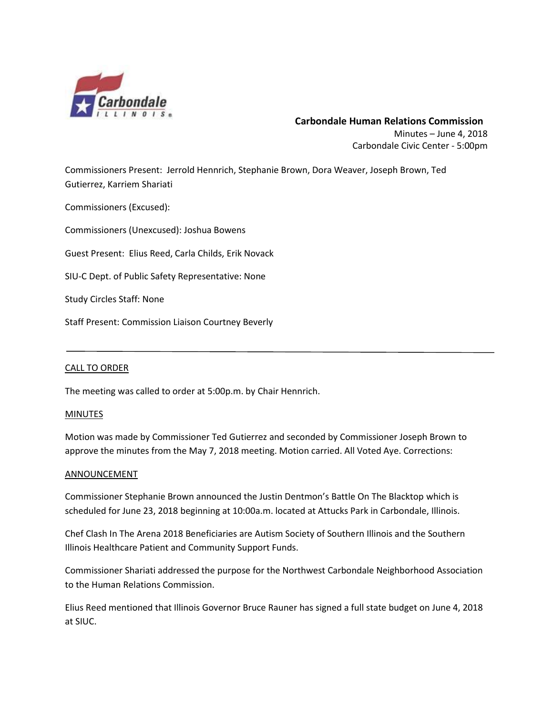

# **Carbondale Human Relations Commission** Minutes – June 4, 2018 Carbondale Civic Center - 5:00pm

Commissioners Present: Jerrold Hennrich, Stephanie Brown, Dora Weaver, Joseph Brown, Ted Gutierrez, Karriem Shariati

Commissioners (Excused):

Commissioners (Unexcused): Joshua Bowens

Guest Present: Elius Reed, Carla Childs, Erik Novack

SIU-C Dept. of Public Safety Representative: None

Study Circles Staff: None

Staff Present: Commission Liaison Courtney Beverly

# CALL TO ORDER

The meeting was called to order at 5:00p.m. by Chair Hennrich.

### MINUTES

Motion was made by Commissioner Ted Gutierrez and seconded by Commissioner Joseph Brown to approve the minutes from the May 7, 2018 meeting. Motion carried. All Voted Aye. Corrections:

### **ANNOUNCEMENT**

Commissioner Stephanie Brown announced the Justin Dentmon's Battle On The Blacktop which is scheduled for June 23, 2018 beginning at 10:00a.m. located at Attucks Park in Carbondale, Illinois.

Chef Clash In The Arena 2018 Beneficiaries are Autism Society of Southern Illinois and the Southern Illinois Healthcare Patient and Community Support Funds.

Commissioner Shariati addressed the purpose for the Northwest Carbondale Neighborhood Association to the Human Relations Commission.

Elius Reed mentioned that Illinois Governor Bruce Rauner has signed a full state budget on June 4, 2018 at SIUC.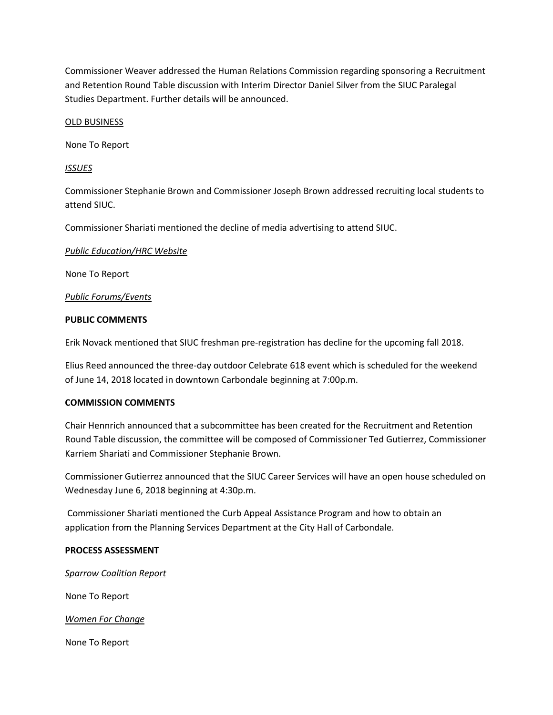Commissioner Weaver addressed the Human Relations Commission regarding sponsoring a Recruitment and Retention Round Table discussion with Interim Director Daniel Silver from the SIUC Paralegal Studies Department. Further details will be announced.

### OLD BUSINESS

None To Report

### *ISSUES*

Commissioner Stephanie Brown and Commissioner Joseph Brown addressed recruiting local students to attend SIUC.

Commissioner Shariati mentioned the decline of media advertising to attend SIUC.

### *Public Education/HRC Website*

None To Report

*Public Forums/Events*

### **PUBLIC COMMENTS**

Erik Novack mentioned that SIUC freshman pre-registration has decline for the upcoming fall 2018.

Elius Reed announced the three-day outdoor Celebrate 618 event which is scheduled for the weekend of June 14, 2018 located in downtown Carbondale beginning at 7:00p.m.

### **COMMISSION COMMENTS**

Chair Hennrich announced that a subcommittee has been created for the Recruitment and Retention Round Table discussion, the committee will be composed of Commissioner Ted Gutierrez, Commissioner Karriem Shariati and Commissioner Stephanie Brown.

Commissioner Gutierrez announced that the SIUC Career Services will have an open house scheduled on Wednesday June 6, 2018 beginning at 4:30p.m.

Commissioner Shariati mentioned the Curb Appeal Assistance Program and how to obtain an application from the Planning Services Department at the City Hall of Carbondale.

### **PROCESS ASSESSMENT**

### *Sparrow Coalition Report*

None To Report

*Women For Change*

None To Report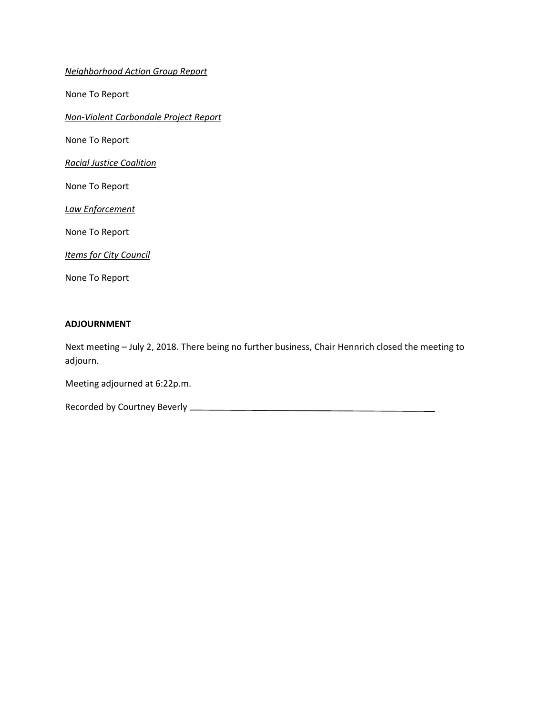*Neighborhood Action Group Report*

None To Report

*Non-Violent Carbondale Project Report*

None To Report

*Racial Justice Coalition*

None To Report

*Law Enforcement*

None To Report

*Items for City Council*

None To Report

#### **ADJOURNMENT**

Next meeting – July 2, 2018. There being no further business, Chair Hennrich closed the meeting to adjourn.

Meeting adjourned at 6:22p.m.

Recorded by Courtney Beverly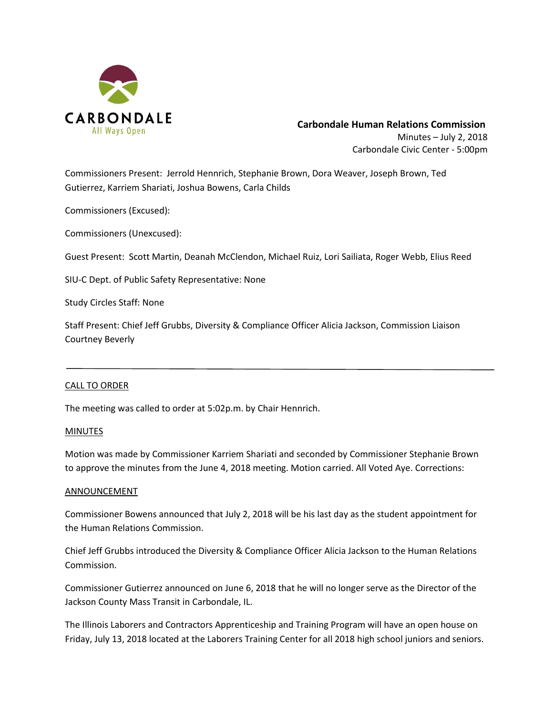

# **Carbondale Human Relations Commission** Minutes – July 2, 2018 Carbondale Civic Center - 5:00pm

Commissioners Present: Jerrold Hennrich, Stephanie Brown, Dora Weaver, Joseph Brown, Ted Gutierrez, Karriem Shariati, Joshua Bowens, Carla Childs

Commissioners (Excused):

Commissioners (Unexcused):

Guest Present: Scott Martin, Deanah McClendon, Michael Ruiz, Lori Sailiata, Roger Webb, Elius Reed

SIU-C Dept. of Public Safety Representative: None

Study Circles Staff: None

Staff Present: Chief Jeff Grubbs, Diversity & Compliance Officer Alicia Jackson, Commission Liaison Courtney Beverly

### CALL TO ORDER

The meeting was called to order at 5:02p.m. by Chair Hennrich.

### MINUTES

Motion was made by Commissioner Karriem Shariati and seconded by Commissioner Stephanie Brown to approve the minutes from the June 4, 2018 meeting. Motion carried. All Voted Aye. Corrections:

### ANNOUNCEMENT

Commissioner Bowens announced that July 2, 2018 will be his last day as the student appointment for the Human Relations Commission.

Chief Jeff Grubbs introduced the Diversity & Compliance Officer Alicia Jackson to the Human Relations Commission.

Commissioner Gutierrez announced on June 6, 2018 that he will no longer serve as the Director of the Jackson County Mass Transit in Carbondale, IL.

The Illinois Laborers and Contractors Apprenticeship and Training Program will have an open house on Friday, July 13, 2018 located at the Laborers Training Center for all 2018 high school juniors and seniors.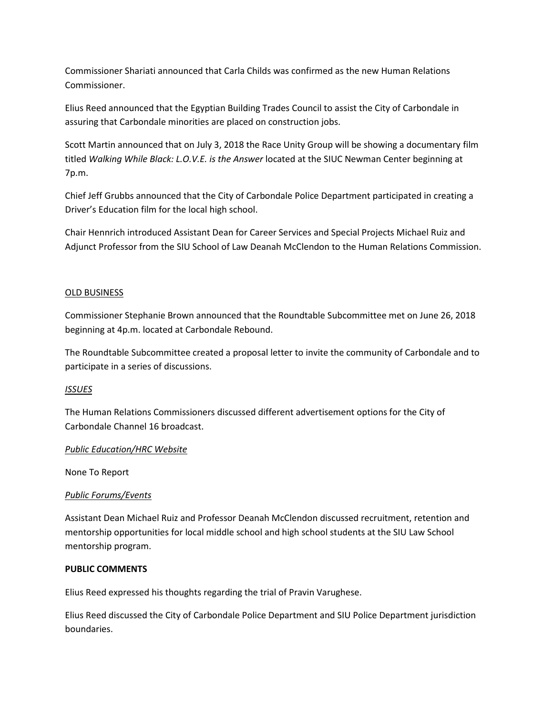Commissioner Shariati announced that Carla Childs was confirmed as the new Human Relations Commissioner.

Elius Reed announced that the Egyptian Building Trades Council to assist the City of Carbondale in assuring that Carbondale minorities are placed on construction jobs.

Scott Martin announced that on July 3, 2018 the Race Unity Group will be showing a documentary film titled *Walking While Black: L.O.V.E. is the Answer* located at the SIUC Newman Center beginning at 7p.m.

Chief Jeff Grubbs announced that the City of Carbondale Police Department participated in creating a Driver's Education film for the local high school.

Chair Hennrich introduced Assistant Dean for Career Services and Special Projects Michael Ruiz and Adjunct Professor from the SIU School of Law Deanah McClendon to the Human Relations Commission.

# OLD BUSINESS

Commissioner Stephanie Brown announced that the Roundtable Subcommittee met on June 26, 2018 beginning at 4p.m. located at Carbondale Rebound.

The Roundtable Subcommittee created a proposal letter to invite the community of Carbondale and to participate in a series of discussions.

# *ISSUES*

The Human Relations Commissioners discussed different advertisement options for the City of Carbondale Channel 16 broadcast.

# *Public Education/HRC Website*

None To Report

# *Public Forums/Events*

Assistant Dean Michael Ruiz and Professor Deanah McClendon discussed recruitment, retention and mentorship opportunities for local middle school and high school students at the SIU Law School mentorship program.

# **PUBLIC COMMENTS**

Elius Reed expressed his thoughts regarding the trial of Pravin Varughese.

Elius Reed discussed the City of Carbondale Police Department and SIU Police Department jurisdiction boundaries.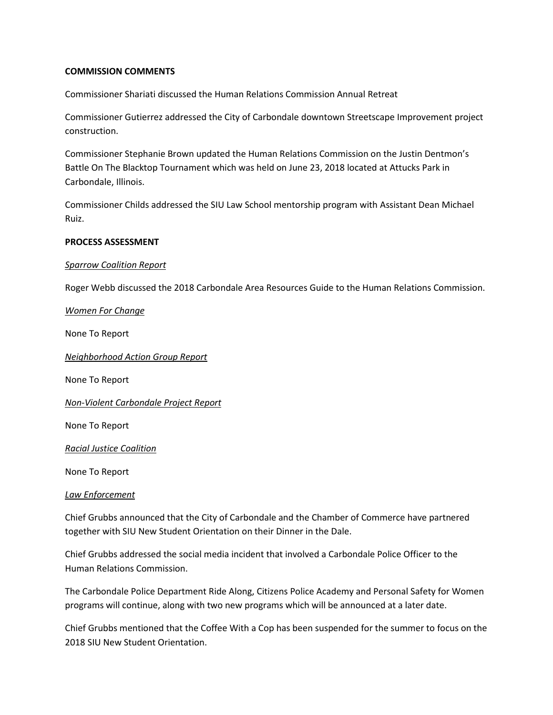### **COMMISSION COMMENTS**

Commissioner Shariati discussed the Human Relations Commission Annual Retreat

Commissioner Gutierrez addressed the City of Carbondale downtown Streetscape Improvement project construction.

Commissioner Stephanie Brown updated the Human Relations Commission on the Justin Dentmon's Battle On The Blacktop Tournament which was held on June 23, 2018 located at Attucks Park in Carbondale, Illinois.

Commissioner Childs addressed the SIU Law School mentorship program with Assistant Dean Michael Ruiz.

### **PROCESS ASSESSMENT**

### *Sparrow Coalition Report*

Roger Webb discussed the 2018 Carbondale Area Resources Guide to the Human Relations Commission.

*Women For Change*

None To Report

*Neighborhood Action Group Report*

None To Report

*Non-Violent Carbondale Project Report*

None To Report

*Racial Justice Coalition*

None To Report

### *Law Enforcement*

Chief Grubbs announced that the City of Carbondale and the Chamber of Commerce have partnered together with SIU New Student Orientation on their Dinner in the Dale.

Chief Grubbs addressed the social media incident that involved a Carbondale Police Officer to the Human Relations Commission.

The Carbondale Police Department Ride Along, Citizens Police Academy and Personal Safety for Women programs will continue, along with two new programs which will be announced at a later date.

Chief Grubbs mentioned that the Coffee With a Cop has been suspended for the summer to focus on the 2018 SIU New Student Orientation.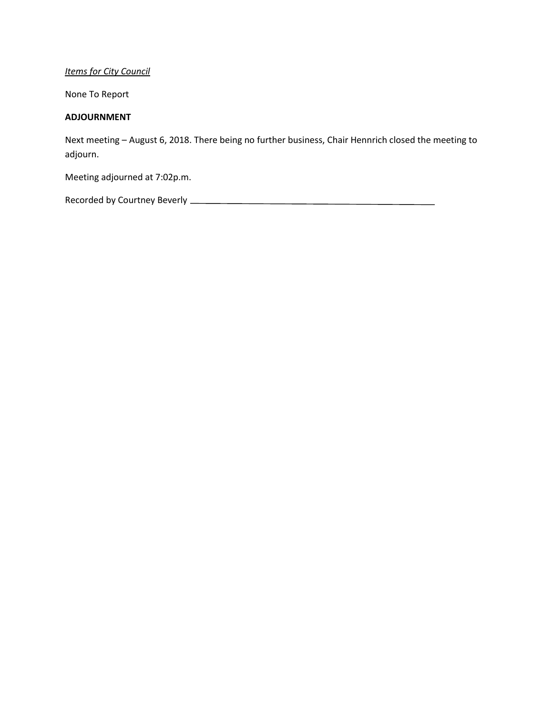# *Items for City Council*

None To Report

### **ADJOURNMENT**

Next meeting – August 6, 2018. There being no further business, Chair Hennrich closed the meeting to adjourn.

Meeting adjourned at 7:02p.m.

Recorded by Courtney Beverly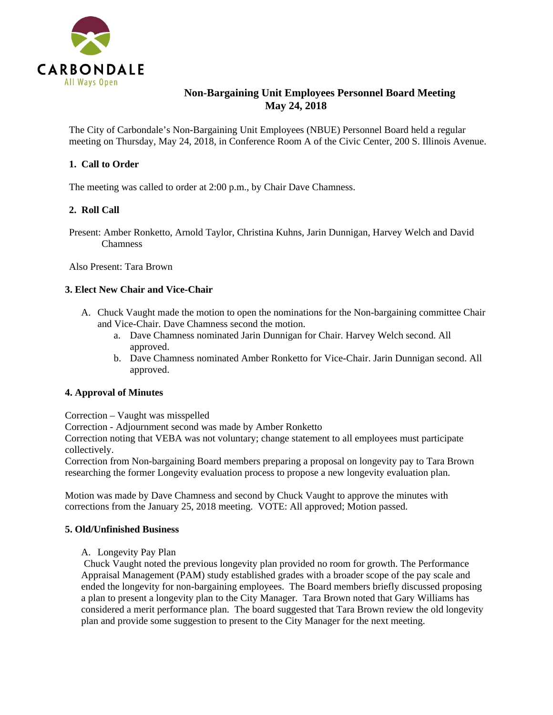

# **Non-Bargaining Unit Employees Personnel Board Meeting May 24, 2018**

The City of Carbondale's Non-Bargaining Unit Employees (NBUE) Personnel Board held a regular meeting on Thursday, May 24, 2018, in Conference Room A of the Civic Center, 200 S. Illinois Avenue.

# **1. Call to Order**

The meeting was called to order at 2:00 p.m., by Chair Dave Chamness.

# **2. Roll Call**

Present: Amber Ronketto, Arnold Taylor, Christina Kuhns, Jarin Dunnigan, Harvey Welch and David **Chamness** 

Also Present: Tara Brown

### **3. Elect New Chair and Vice-Chair**

- A. Chuck Vaught made the motion to open the nominations for the Non-bargaining committee Chair and Vice-Chair. Dave Chamness second the motion.
	- a. Dave Chamness nominated Jarin Dunnigan for Chair. Harvey Welch second. All approved.
	- b. Dave Chamness nominated Amber Ronketto for Vice-Chair. Jarin Dunnigan second. All approved.

### **4. Approval of Minutes**

Correction – Vaught was misspelled

Correction - Adjournment second was made by Amber Ronketto

Correction noting that VEBA was not voluntary; change statement to all employees must participate collectively.

Correction from Non-bargaining Board members preparing a proposal on longevity pay to Tara Brown researching the former Longevity evaluation process to propose a new longevity evaluation plan.

Motion was made by Dave Chamness and second by Chuck Vaught to approve the minutes with corrections from the January 25, 2018 meeting. VOTE: All approved; Motion passed.

# **5. Old/Unfinished Business**

A. Longevity Pay Plan

Chuck Vaught noted the previous longevity plan provided no room for growth. The Performance Appraisal Management (PAM) study established grades with a broader scope of the pay scale and ended the longevity for non-bargaining employees. The Board members briefly discussed proposing a plan to present a longevity plan to the City Manager. Tara Brown noted that Gary Williams has considered a merit performance plan. The board suggested that Tara Brown review the old longevity plan and provide some suggestion to present to the City Manager for the next meeting.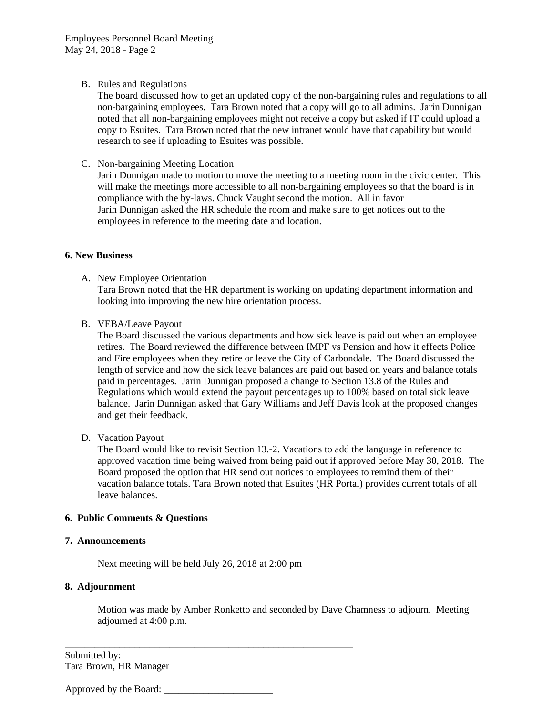### B. Rules and Regulations

The board discussed how to get an updated copy of the non-bargaining rules and regulations to all non-bargaining employees. Tara Brown noted that a copy will go to all admins. Jarin Dunnigan noted that all non-bargaining employees might not receive a copy but asked if IT could upload a copy to Esuites. Tara Brown noted that the new intranet would have that capability but would research to see if uploading to Esuites was possible.

# C. Non-bargaining Meeting Location

Jarin Dunnigan made to motion to move the meeting to a meeting room in the civic center. This will make the meetings more accessible to all non-bargaining employees so that the board is in compliance with the by-laws. Chuck Vaught second the motion. All in favor Jarin Dunnigan asked the HR schedule the room and make sure to get notices out to the employees in reference to the meeting date and location.

### **6. New Business**

A. New Employee Orientation

Tara Brown noted that the HR department is working on updating department information and looking into improving the new hire orientation process.

B. VEBA/Leave Payout

The Board discussed the various departments and how sick leave is paid out when an employee retires. The Board reviewed the difference between IMPF vs Pension and how it effects Police and Fire employees when they retire or leave the City of Carbondale. The Board discussed the length of service and how the sick leave balances are paid out based on years and balance totals paid in percentages. Jarin Dunnigan proposed a change to Section 13.8 of the Rules and Regulations which would extend the payout percentages up to 100% based on total sick leave balance. Jarin Dunnigan asked that Gary Williams and Jeff Davis look at the proposed changes and get their feedback.

# D. Vacation Payout

The Board would like to revisit Section 13.-2. Vacations to add the language in reference to approved vacation time being waived from being paid out if approved before May 30, 2018. The Board proposed the option that HR send out notices to employees to remind them of their vacation balance totals. Tara Brown noted that Esuites (HR Portal) provides current totals of all leave balances.

# **6. Public Comments & Questions**

# **7. Announcements**

Next meeting will be held July 26, 2018 at 2:00 pm

\_\_\_\_\_\_\_\_\_\_\_\_\_\_\_\_\_\_\_\_\_\_\_\_\_\_\_\_\_\_\_\_\_\_\_\_\_\_\_\_\_\_\_\_\_\_\_\_\_\_\_\_\_\_\_\_\_\_

# **8. Adjournment**

Motion was made by Amber Ronketto and seconded by Dave Chamness to adjourn. Meeting adjourned at 4:00 p.m.

Submitted by: Tara Brown, HR Manager

Approved by the Board: \_\_\_\_\_\_\_\_\_\_\_\_\_\_\_\_\_\_\_\_\_\_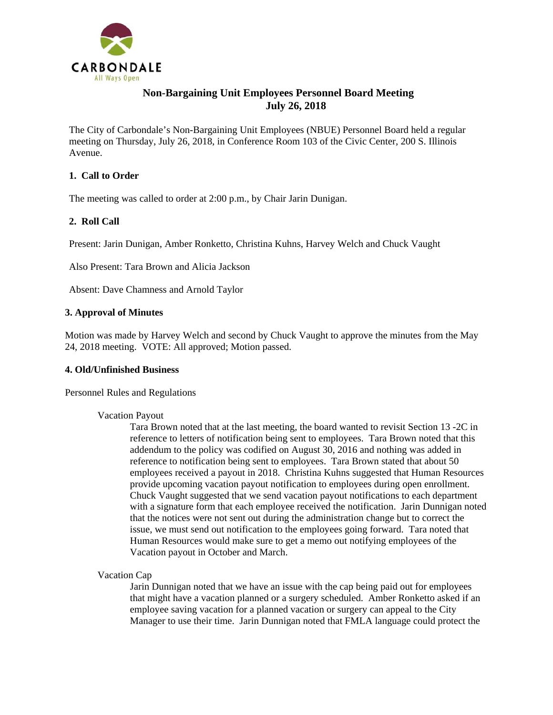

# **Non-Bargaining Unit Employees Personnel Board Meeting July 26, 2018**

The City of Carbondale's Non-Bargaining Unit Employees (NBUE) Personnel Board held a regular meeting on Thursday, July 26, 2018, in Conference Room 103 of the Civic Center, 200 S. Illinois Avenue.

# **1. Call to Order**

The meeting was called to order at 2:00 p.m., by Chair Jarin Dunigan.

# **2. Roll Call**

Present: Jarin Dunigan, Amber Ronketto, Christina Kuhns, Harvey Welch and Chuck Vaught

Also Present: Tara Brown and Alicia Jackson

Absent: Dave Chamness and Arnold Taylor

### **3. Approval of Minutes**

Motion was made by Harvey Welch and second by Chuck Vaught to approve the minutes from the May 24, 2018 meeting. VOTE: All approved; Motion passed.

### **4. Old/Unfinished Business**

Personnel Rules and Regulations

### Vacation Payout

Tara Brown noted that at the last meeting, the board wanted to revisit Section 13 -2C in reference to letters of notification being sent to employees. Tara Brown noted that this addendum to the policy was codified on August 30, 2016 and nothing was added in reference to notification being sent to employees. Tara Brown stated that about 50 employees received a payout in 2018. Christina Kuhns suggested that Human Resources provide upcoming vacation payout notification to employees during open enrollment. Chuck Vaught suggested that we send vacation payout notifications to each department with a signature form that each employee received the notification. Jarin Dunnigan noted that the notices were not sent out during the administration change but to correct the issue, we must send out notification to the employees going forward. Tara noted that Human Resources would make sure to get a memo out notifying employees of the Vacation payout in October and March.

Vacation Cap

Jarin Dunnigan noted that we have an issue with the cap being paid out for employees that might have a vacation planned or a surgery scheduled. Amber Ronketto asked if an employee saving vacation for a planned vacation or surgery can appeal to the City Manager to use their time. Jarin Dunnigan noted that FMLA language could protect the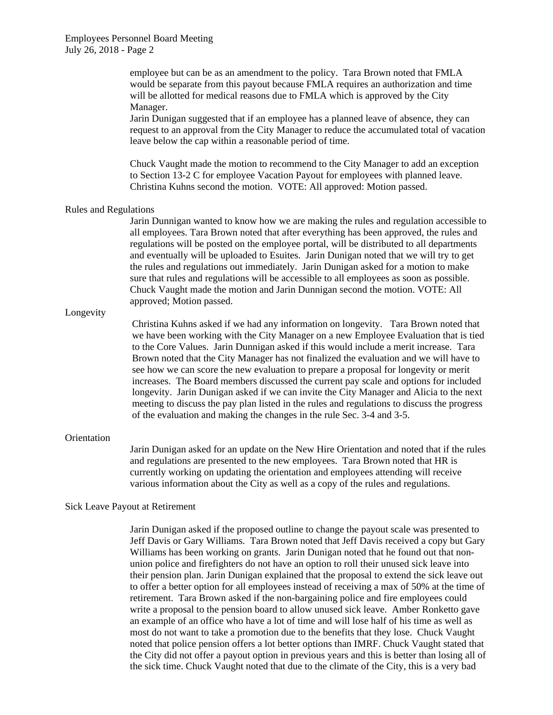employee but can be as an amendment to the policy. Tara Brown noted that FMLA would be separate from this payout because FMLA requires an authorization and time will be allotted for medical reasons due to FMLA which is approved by the City Manager.

Jarin Dunigan suggested that if an employee has a planned leave of absence, they can request to an approval from the City Manager to reduce the accumulated total of vacation leave below the cap within a reasonable period of time.

Chuck Vaught made the motion to recommend to the City Manager to add an exception to Section 13-2 C for employee Vacation Payout for employees with planned leave. Christina Kuhns second the motion. VOTE: All approved: Motion passed.

#### Rules and Regulations

Jarin Dunnigan wanted to know how we are making the rules and regulation accessible to all employees. Tara Brown noted that after everything has been approved, the rules and regulations will be posted on the employee portal, will be distributed to all departments and eventually will be uploaded to Esuites. Jarin Dunigan noted that we will try to get the rules and regulations out immediately. Jarin Dunigan asked for a motion to make sure that rules and regulations will be accessible to all employees as soon as possible. Chuck Vaught made the motion and Jarin Dunnigan second the motion. VOTE: All approved; Motion passed.

#### Longevity

Christina Kuhns asked if we had any information on longevity. Tara Brown noted that we have been working with the City Manager on a new Employee Evaluation that is tied to the Core Values. Jarin Dunnigan asked if this would include a merit increase. Tara Brown noted that the City Manager has not finalized the evaluation and we will have to see how we can score the new evaluation to prepare a proposal for longevity or merit increases. The Board members discussed the current pay scale and options for included longevity. Jarin Dunigan asked if we can invite the City Manager and Alicia to the next meeting to discuss the pay plan listed in the rules and regulations to discuss the progress of the evaluation and making the changes in the rule Sec. 3-4 and 3-5.

#### **Orientation**

Jarin Dunigan asked for an update on the New Hire Orientation and noted that if the rules and regulations are presented to the new employees. Tara Brown noted that HR is currently working on updating the orientation and employees attending will receive various information about the City as well as a copy of the rules and regulations.

#### Sick Leave Payout at Retirement

Jarin Dunigan asked if the proposed outline to change the payout scale was presented to Jeff Davis or Gary Williams. Tara Brown noted that Jeff Davis received a copy but Gary Williams has been working on grants. Jarin Dunigan noted that he found out that nonunion police and firefighters do not have an option to roll their unused sick leave into their pension plan. Jarin Dunigan explained that the proposal to extend the sick leave out to offer a better option for all employees instead of receiving a max of 50% at the time of retirement. Tara Brown asked if the non-bargaining police and fire employees could write a proposal to the pension board to allow unused sick leave. Amber Ronketto gave an example of an office who have a lot of time and will lose half of his time as well as most do not want to take a promotion due to the benefits that they lose. Chuck Vaught noted that police pension offers a lot better options than IMRF. Chuck Vaught stated that the City did not offer a payout option in previous years and this is better than losing all of the sick time. Chuck Vaught noted that due to the climate of the City, this is a very bad